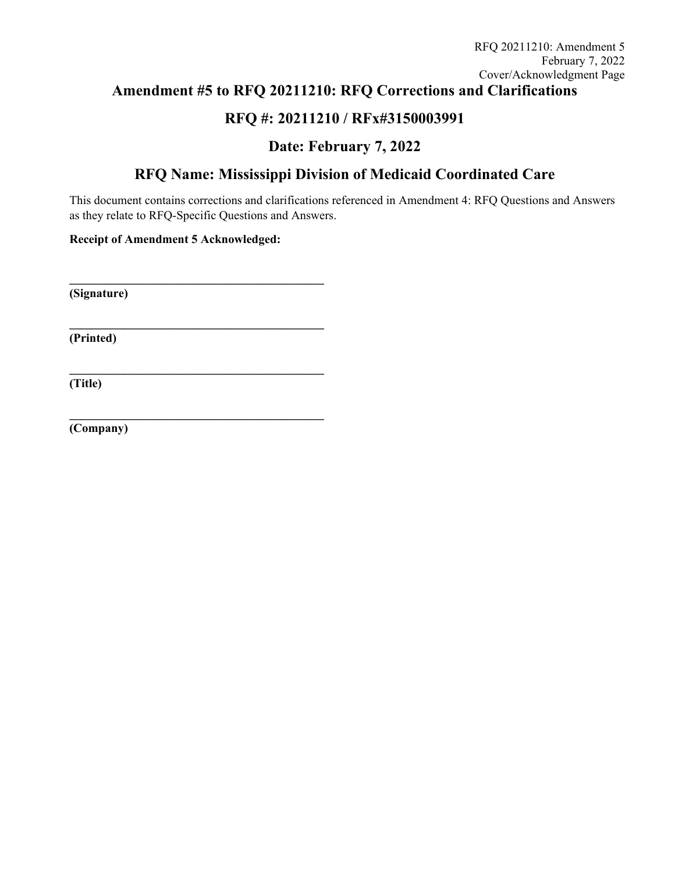# **Amendment #5 to RFQ 20211210: RFQ Corrections and Clarifications**

# **RFQ #: 20211210 / RFx#3150003991**

# **Date: February 7, 2022**

# **RFQ Name: Mississippi Division of Medicaid Coordinated Care**

This document contains corrections and clarifications referenced in Amendment 4: RFQ Questions and Answers as they relate to RFQ-Specific Questions and Answers.

**Receipt of Amendment 5 Acknowledged:** 

**\_\_\_\_\_\_\_\_\_\_\_\_\_\_\_\_\_\_\_\_\_\_\_\_\_\_\_\_\_\_\_\_\_\_\_\_\_\_\_\_\_\_** 

**\_\_\_\_\_\_\_\_\_\_\_\_\_\_\_\_\_\_\_\_\_\_\_\_\_\_\_\_\_\_\_\_\_\_\_\_\_\_\_\_\_\_** 

**\_\_\_\_\_\_\_\_\_\_\_\_\_\_\_\_\_\_\_\_\_\_\_\_\_\_\_\_\_\_\_\_\_\_\_\_\_\_\_\_\_\_** 

**\_\_\_\_\_\_\_\_\_\_\_\_\_\_\_\_\_\_\_\_\_\_\_\_\_\_\_\_\_\_\_\_\_\_\_\_\_\_\_\_\_\_** 

**(Signature)** 

**(Printed)** 

**(Title)** 

**(Company)**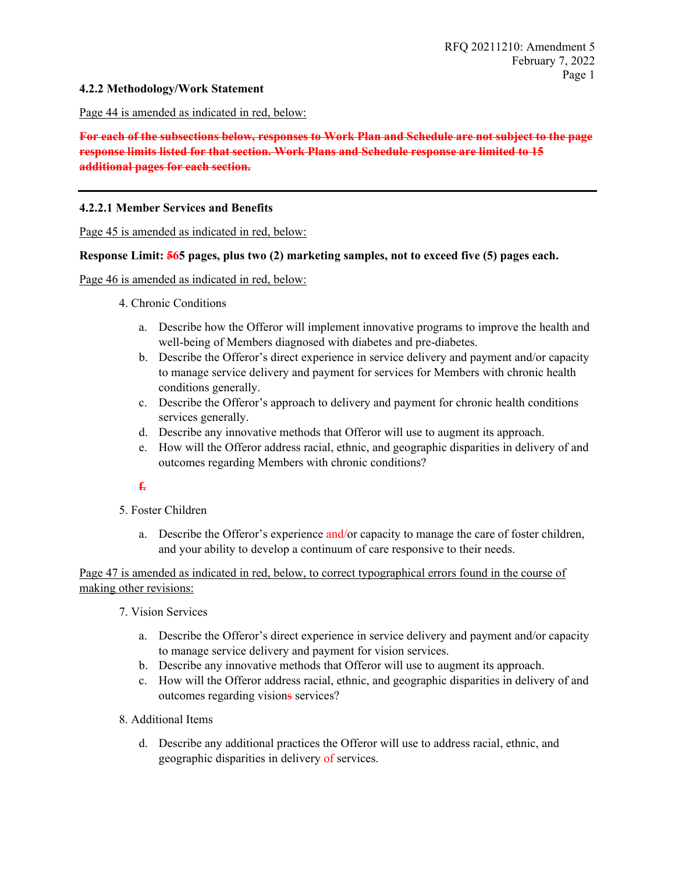## **4.2.2 Methodology/Work Statement**

Page 44 is amended as indicated in red, below:

# **For each of the subsections below, responses to Work Plan and Schedule are not subject to the page response limits listed for that section. Work Plans and Schedule response are limited to 15 additional pages for each section.**

#### **4.2.2.1 Member Services and Benefits**

Page 45 is amended as indicated in red, below:

### **Response Limit: 565 pages, plus two (2) marketing samples, not to exceed five (5) pages each.**

Page 46 is amended as indicated in red, below:

- 4. Chronic Conditions
	- a. Describe how the Offeror will implement innovative programs to improve the health and well-being of Members diagnosed with diabetes and pre-diabetes.
	- b. Describe the Offeror's direct experience in service delivery and payment and/or capacity to manage service delivery and payment for services for Members with chronic health conditions generally.
	- c. Describe the Offeror's approach to delivery and payment for chronic health conditions services generally.
	- d. Describe any innovative methods that Offeror will use to augment its approach.
	- e. How will the Offeror address racial, ethnic, and geographic disparities in delivery of and outcomes regarding Members with chronic conditions?

# **f.**

- 5. Foster Children
	- a. Describe the Offeror's experience and/or capacity to manage the care of foster children, and your ability to develop a continuum of care responsive to their needs.

# Page 47 is amended as indicated in red, below, to correct typographical errors found in the course of making other revisions:

- 7. Vision Services
	- a. Describe the Offeror's direct experience in service delivery and payment and/or capacity to manage service delivery and payment for vision services.
	- b. Describe any innovative methods that Offeror will use to augment its approach.
	- c. How will the Offeror address racial, ethnic, and geographic disparities in delivery of and outcomes regarding visions services?
- 8. Additional Items
	- d. Describe any additional practices the Offeror will use to address racial, ethnic, and geographic disparities in delivery of services.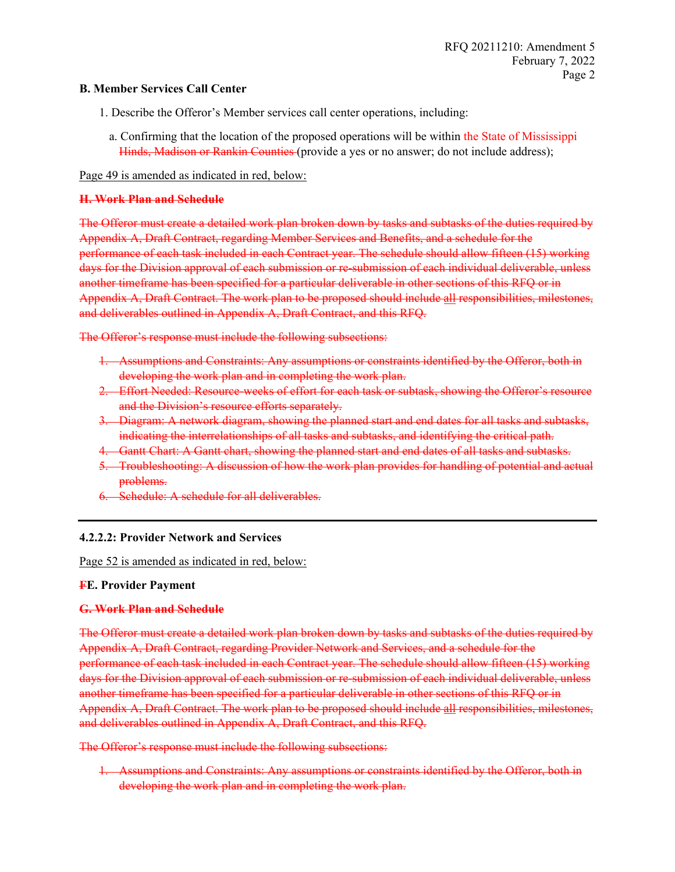# **B. Member Services Call Center**

- 1. Describe the Offeror's Member services call center operations, including:
- a. Confirming that the location of the proposed operations will be within the State of Mississippi Hinds, Madison or Rankin Counties (provide a yes or no answer; do not include address);

Page 49 is amended as indicated in red, below:

#### **H. Work Plan and Schedule**

The Offeror must create a detailed work plan broken down by tasks and subtasks of the duties required by Appendix A, Draft Contract, regarding Member Services and Benefits, and a schedule for the performance of each task included in each Contract year. The schedule should allow fifteen (15) working days for the Division approval of each submission or re-submission of each individual deliverable, unless another timeframe has been specified for a particular deliverable in other sections of this RFQ or in Appendix A, Draft Contract. The work plan to be proposed should include all responsibilities, milestones, and deliverables outlined in Appendix A, Draft Contract, and this RFQ.

The Offeror's response must include the following subsections:

- 1. Assumptions and Constraints: Any assumptions or constraints identified by the Offeror, both in developing the work plan and in completing the work plan.
- 2. Effort Needed: Resource-weeks of effort for each task or subtask, showing the Offeror's resource and the Division's resource efforts separately.
- 3. Diagram: A network diagram, showing the planned start and end dates for all tasks and subtasks, indicating the interrelationships of all tasks and subtasks, and identifying the critical path.
- 4. Gantt Chart: A Gantt chart, showing the planned start and end dates of all tasks and subtasks.
- 5. Troubleshooting: A discussion of how the work plan provides for handling of potential and actual problems.
- 6. Schedule: A schedule for all deliverables.

# **4.2.2.2: Provider Network and Services**

Page 52 is amended as indicated in red, below:

# **FE. Provider Payment**

#### **G. Work Plan and Schedule**

The Offeror must create a detailed work plan broken down by tasks and subtasks of the duties required by Appendix A, Draft Contract, regarding Provider Network and Services, and a schedule for the performance of each task included in each Contract year. The schedule should allow fifteen (15) working days for the Division approval of each submission or re-submission of each individual deliverable, unless another timeframe has been specified for a particular deliverable in other sections of this RFQ or in Appendix A, Draft Contract. The work plan to be proposed should include all responsibilities, milestones, and deliverables outlined in Appendix A, Draft Contract, and this RFQ.

The Offeror's response must include the following subsections:

1. Assumptions and Constraints: Any assumptions or constraints identified by the Offeror, both in developing the work plan and in completing the work plan.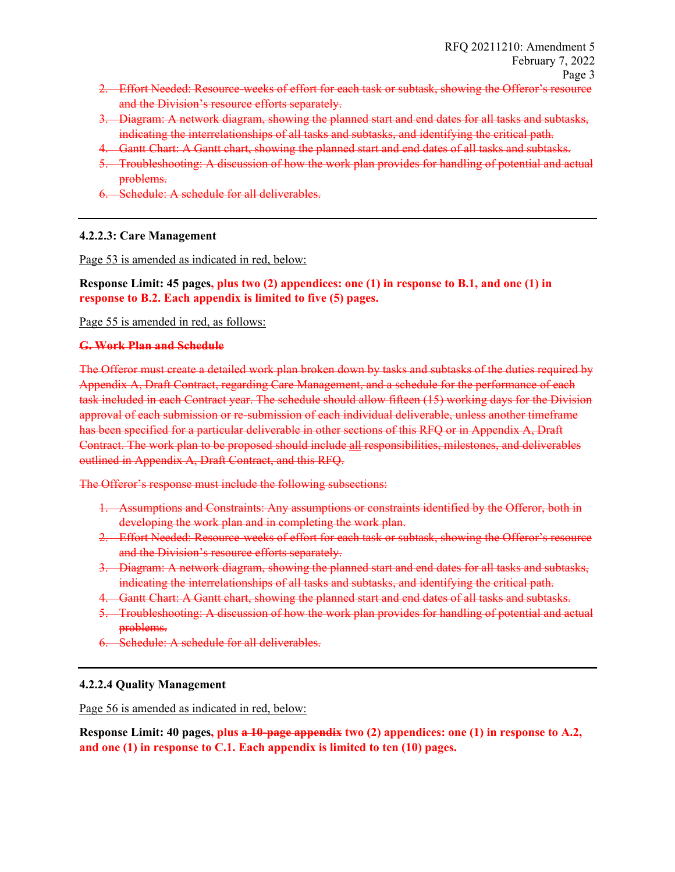- 2. Effort Needed: Resource-weeks of effort for each task or subtask, showing the Offeror's resource and the Division's resource efforts separately.
- 3. Diagram: A network diagram, showing the planned start and end dates for all tasks and subtasks, indicating the interrelationships of all tasks and subtasks, and identifying the critical path.
- 4. Gantt Chart: A Gantt chart, showing the planned start and end dates of all tasks and subtasks.
- 5. Troubleshooting: A discussion of how the work plan provides for handling of potential and actual problems.
- 6. Schedule: A schedule for all deliverables.

# **4.2.2.3: Care Management**

Page 53 is amended as indicated in red, below:

**Response Limit: 45 pages, plus two (2) appendices: one (1) in response to B.1, and one (1) in response to B.2. Each appendix is limited to five (5) pages.**

Page 55 is amended in red, as follows:

# **G. Work Plan and Schedule**

The Offeror must create a detailed work plan broken down by tasks and subtasks of the duties required by Appendix A, Draft Contract, regarding Care Management, and a schedule for the performance of each task included in each Contract year. The schedule should allow fifteen (15) working days for the Division approval of each submission or re-submission of each individual deliverable, unless another timeframe has been specified for a particular deliverable in other sections of this RFQ or in Appendix A, Draft Contract. The work plan to be proposed should include all responsibilities, milestones, and deliverables outlined in Appendix A, Draft Contract, and this RFQ.

The Offeror's response must include the following subsections:

- 1. Assumptions and Constraints: Any assumptions or constraints identified by the Offeror, both in developing the work plan and in completing the work plan.
- 2. Effort Needed: Resource-weeks of effort for each task or subtask, showing the Offeror's resource and the Division's resource efforts separately.
- 3. Diagram: A network diagram, showing the planned start and end dates for all tasks and subtasks, indicating the interrelationships of all tasks and subtasks, and identifying the critical path.
- 4. Gantt Chart: A Gantt chart, showing the planned start and end dates of all tasks and subtasks.
- 5. Troubleshooting: A discussion of how the work plan provides for handling of potential and actual problems.
- Schedule: A schedule for all deliverables.

# **4.2.2.4 Quality Management**

Page 56 is amended as indicated in red, below:

**Response Limit: 40 pages, plus a 10-page appendix two (2) appendices: one (1) in response to A.2, and one (1) in response to C.1. Each appendix is limited to ten (10) pages.**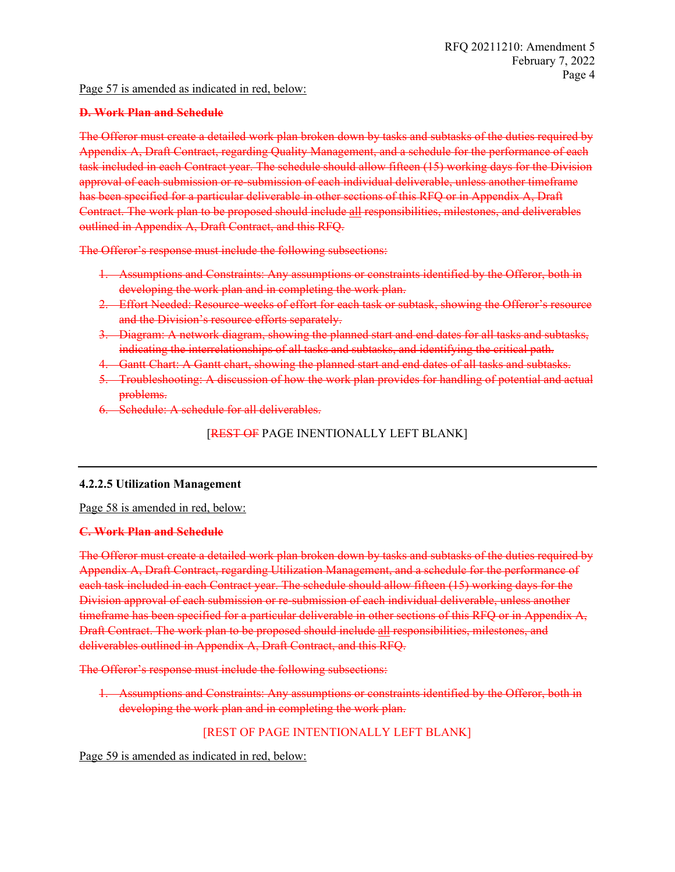# Page 57 is amended as indicated in red, below:

### **D. Work Plan and Schedule**

The Offeror must create a detailed work plan broken down by tasks and subtasks of the duties required by Appendix A, Draft Contract, regarding Quality Management, and a schedule for the performance of each task included in each Contract year. The schedule should allow fifteen (15) working days for the Division approval of each submission or re-submission of each individual deliverable, unless another timeframe has been specified for a particular deliverable in other sections of this RFQ or in Appendix A, Draft Contract. The work plan to be proposed should include all responsibilities, milestones, and deliverables outlined in Appendix A, Draft Contract, and this RFQ.

The Offeror's response must include the following subsections:

- 1. Assumptions and Constraints: Any assumptions or constraints identified by the Offeror, both in developing the work plan and in completing the work plan.
- 2. Effort Needed: Resource-weeks of effort for each task or subtask, showing the Offeror's resource and the Division's resource efforts separately.
- 3. Diagram: A network diagram, showing the planned start and end dates for all tasks and subtasks, indicating the interrelationships of all tasks and subtasks, and identifying the critical path.
- 4. Gantt Chart: A Gantt chart, showing the planned start and end dates of all tasks and subtasks.
- 5. Troubleshooting: A discussion of how the work plan provides for handling of potential and actual problems.
- 6. Schedule: A schedule for all deliverables.

**[REST OF PAGE INENTIONALLY LEFT BLANK]** 

# **4.2.2.5 Utilization Management**

Page 58 is amended in red, below:

#### **C. Work Plan and Schedule**

The Offeror must create a detailed work plan broken down by tasks and subtasks of the duties required by Appendix A, Draft Contract, regarding Utilization Management, and a schedule for the performance of each task included in each Contract year. The schedule should allow fifteen (15) working days for the Division approval of each submission or re-submission of each individual deliverable, unless another timeframe has been specified for a particular deliverable in other sections of this RFQ or in Appendix A, Draft Contract. The work plan to be proposed should include all responsibilities, milestones, and deliverables outlined in Appendix A, Draft Contract, and this RFQ.

The Offeror's response must include the following subsections:

1. Assumptions and Constraints: Any assumptions or constraints identified by the Offeror, both in developing the work plan and in completing the work plan.

# [REST OF PAGE INTENTIONALLY LEFT BLANK]

Page 59 is amended as indicated in red, below: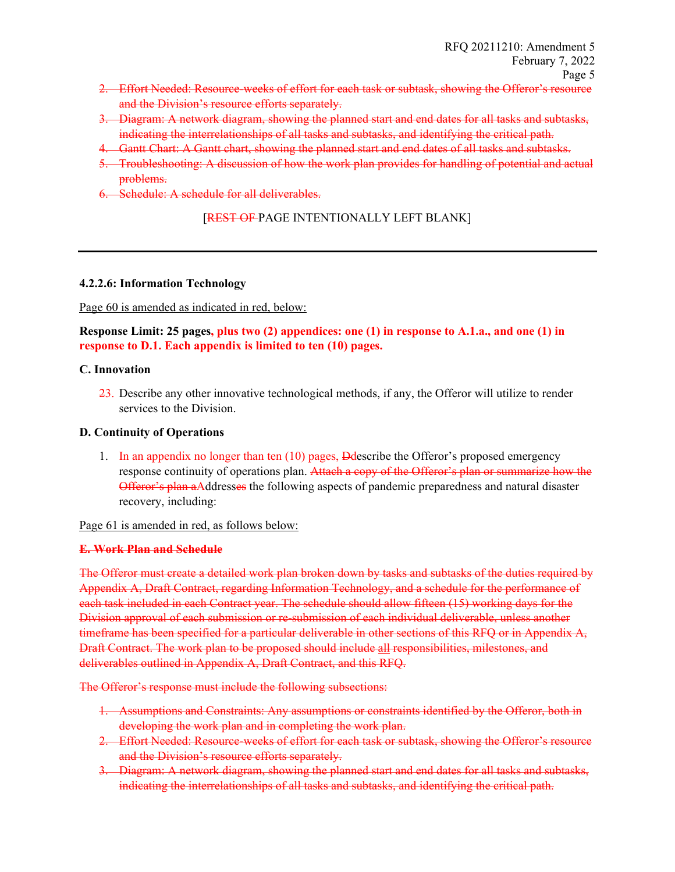- 2. Effort Needed: Resource-weeks of effort for each task or subtask, showing the Offeror's resource and the Division's resource efforts separately.
- 3. Diagram: A network diagram, showing the planned start and end dates for all tasks and subtasks, indicating the interrelationships of all tasks and subtasks, and identifying the critical path.
- 4. Gantt Chart: A Gantt chart, showing the planned start and end dates of all tasks and subtasks.
- 5. Troubleshooting: A discussion of how the work plan provides for handling of potential and actual problems.
- 6. Schedule: A schedule for all deliverables.

# [REST OF PAGE INTENTIONALLY LEFT BLANK]

# **4.2.2.6: Information Technology**

Page 60 is amended as indicated in red, below:

**Response Limit: 25 pages, plus two (2) appendices: one (1) in response to A.1.a., and one (1) in response to D.1. Each appendix is limited to ten (10) pages.**

#### **C. Innovation**

23. Describe any other innovative technological methods, if any, the Offeror will utilize to render services to the Division.

## **D. Continuity of Operations**

1. In an appendix no longer than ten (10) pages, Ddescribe the Offeror's proposed emergency response continuity of operations plan. Attach a copy of the Offeror's plan or summarize how the **Offeror's plan a**Addresses the following aspects of pandemic preparedness and natural disaster recovery, including:

Page 61 is amended in red, as follows below:

# **E. Work Plan and Schedule**

The Offeror must create a detailed work plan broken down by tasks and subtasks of the duties required by Appendix A, Draft Contract, regarding Information Technology, and a schedule for the performance of each task included in each Contract year. The schedule should allow fifteen (15) working days for the Division approval of each submission or re-submission of each individual deliverable, unless another timeframe has been specified for a particular deliverable in other sections of this RFO or in Appendix A, Draft Contract. The work plan to be proposed should include all responsibilities, milestones, and deliverables outlined in Appendix A, Draft Contract, and this RFQ.

The Offeror's response must include the following subsections:

- 1. Assumptions and Constraints: Any assumptions or constraints identified by the Offeror, both in developing the work plan and in completing the work plan.
- 2. Effort Needed: Resource-weeks of effort for each task or subtask, showing the Offeror's resource and the Division's resource efforts separately.
- 3. Diagram: A network diagram, showing the planned start and end dates for all tasks and subtasks, indicating the interrelationships of all tasks and subtasks, and identifying the critical path.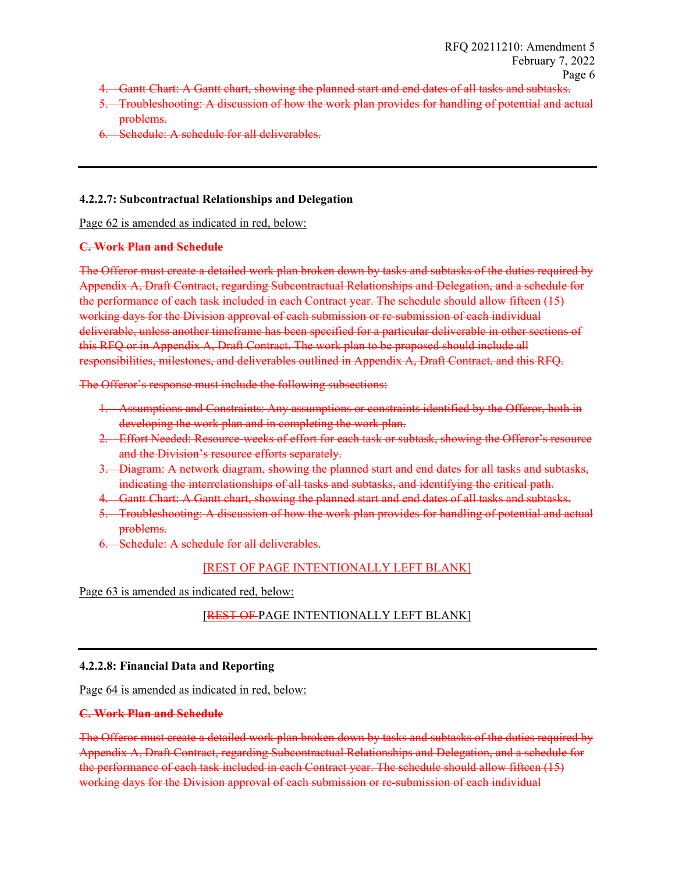- 4. Gantt Chart: A Gantt chart, showing the planned start and end dates of all tasks and subtasks.
- 5. Troubleshooting: A discussion of how the work plan provides for handling of potential and actual problems.
- Schedule: A schedule for all deliverables.

# **4.2.2.7: Subcontractual Relationships and Delegation**

Page 62 is amended as indicated in red, below:

#### **C. Work Plan and Schedule**

The Offeror must create a detailed work plan broken down by tasks and subtasks of the duties required by Appendix A, Draft Contract, regarding Subcontractual Relationships and Delegation, and a schedule for the performance of each task included in each Contract year. The schedule should allow fifteen (15) working days for the Division approval of each submission or re-submission of each individual deliverable, unless another timeframe has been specified for a particular deliverable in other sections of this RFO or in Appendix A, Draft Contract. The work plan to be proposed should include all responsibilities, milestones, and deliverables outlined in Appendix A, Draft Contract, and this RFQ.

The Offeror's response must include the following subsections:

- 1. Assumptions and Constraints: Any assumptions or constraints identified by the Offeror, both in developing the work plan and in completing the work plan.
- 2. Effort Needed: Resource-weeks of effort for each task or subtask, showing the Offeror's resource and the Division's resource efforts separately.
- 3. Diagram: A network diagram, showing the planned start and end dates for all tasks and subtasks, indicating the interrelationships of all tasks and subtasks, and identifying the critical path.
- 4. Gantt Chart: A Gantt chart, showing the planned start and end dates of all tasks and subtasks.
- 5. Troubleshooting: A discussion of how the work plan provides for handling of potential and actual problems.
- 6. Schedule: A schedule for all deliverables.

# [REST OF PAGE INTENTIONALLY LEFT BLANK]

Page 63 is amended as indicated red, below:

# [REST OF PAGE INTENTIONALLY LEFT BLANK]

# **4.2.2.8: Financial Data and Reporting**

Page 64 is amended as indicated in red, below:

# **C. Work Plan and Schedule**

The Offeror must create a detailed work plan broken down by tasks and subtasks of the duties required by Appendix A, Draft Contract, regarding Subcontractual Relationships and Delegation, and a schedule for the performance of each task included in each Contract year. The schedule should allow fifteen (15) working days for the Division approval of each submission or re-submission of each individual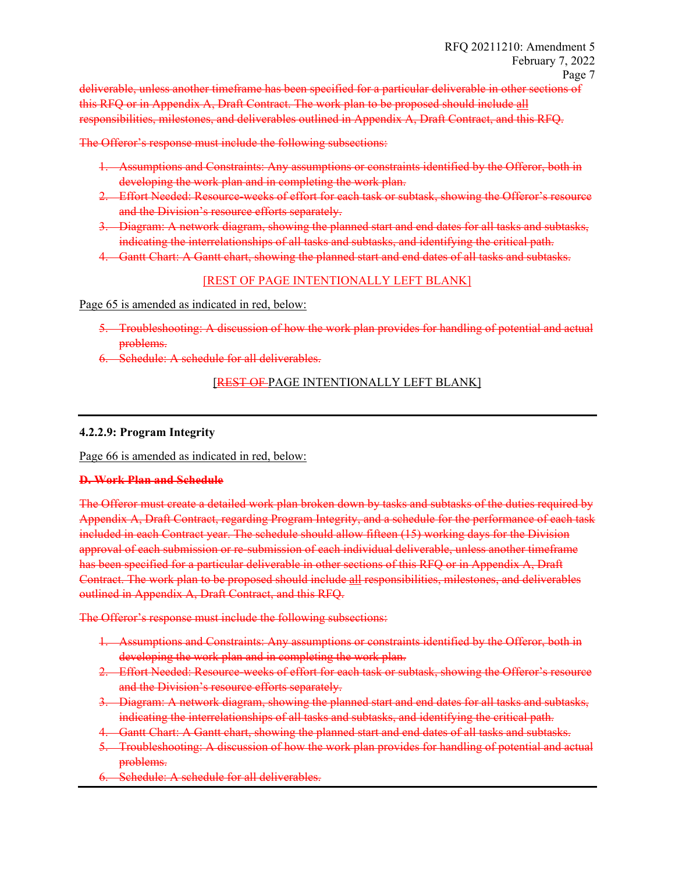deliverable, unless another timeframe has been specified for a particular deliverable in other sections of this RFQ or in Appendix A, Draft Contract. The work plan to be proposed should include all responsibilities, milestones, and deliverables outlined in Appendix A, Draft Contract, and this RFQ.

The Offeror's response must include the following subsections:

- 1. Assumptions and Constraints: Any assumptions or constraints identified by the Offeror, both in developing the work plan and in completing the work plan.
- 2. Effort Needed: Resource-weeks of effort for each task or subtask, showing the Offeror's resource and the Division's resource efforts separately.
- 3. Diagram: A network diagram, showing the planned start and end dates for all tasks and subtasks, indicating the interrelationships of all tasks and subtasks, and identifying the critical path.
- 4. Gantt Chart: A Gantt chart, showing the planned start and end dates of all tasks and subtasks.

# [REST OF PAGE INTENTIONALLY LEFT BLANK]

Page 65 is amended as indicated in red, below:

- 5. Troubleshooting: A discussion of how the work plan provides for handling of potential and actual problems.
- 6. Schedule: A schedule for all deliverables.

### [REST OF PAGE INTENTIONALLY LEFT BLANK]

#### **4.2.2.9: Program Integrity**

Page 66 is amended as indicated in red, below:

#### **D. Work Plan and Schedule**

The Offeror must create a detailed work plan broken down by tasks and subtasks of the duties required by Appendix A, Draft Contract, regarding Program Integrity, and a schedule for the performance of each task included in each Contract year. The schedule should allow fifteen (15) working days for the Division approval of each submission or re-submission of each individual deliverable, unless another timeframe has been specified for a particular deliverable in other sections of this RFQ or in Appendix A, Draft Contract. The work plan to be proposed should include all responsibilities, milestones, and deliverables outlined in Appendix A, Draft Contract, and this RFQ.

The Offeror's response must include the following subsections:

- 1. Assumptions and Constraints: Any assumptions or constraints identified by the Offeror, both in developing the work plan and in completing the work plan.
- 2. Effort Needed: Resource-weeks of effort for each task or subtask, showing the Offeror's resource and the Division's resource efforts separately.
- 3. Diagram: A network diagram, showing the planned start and end dates for all tasks and subtasks, indicating the interrelationships of all tasks and subtasks, and identifying the critical path.
- 4. Gantt Chart: A Gantt chart, showing the planned start and end dates of all tasks and subtasks.
- 5. Troubleshooting: A discussion of how the work plan provides for handling of potential and actual problems.
- Schedule: A schedule for all deliverables.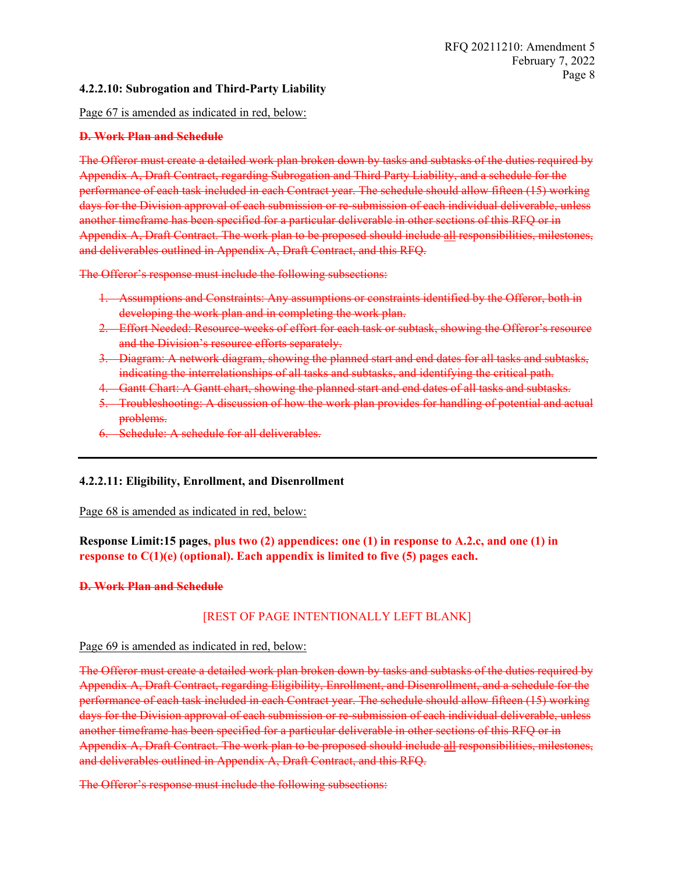# **4.2.2.10: Subrogation and Third-Party Liability**

Page 67 is amended as indicated in red, below:

# **D. Work Plan and Schedule**

The Offeror must create a detailed work plan broken down by tasks and subtasks of the duties required by Appendix A, Draft Contract, regarding Subrogation and Third Party Liability, and a schedule for the performance of each task included in each Contract year. The schedule should allow fifteen (15) working days for the Division approval of each submission or re-submission of each individual deliverable, unless another timeframe has been specified for a particular deliverable in other sections of this RFQ or in Appendix A, Draft Contract. The work plan to be proposed should include all responsibilities, milestones, and deliverables outlined in Appendix A, Draft Contract, and this RFQ.

The Offeror's response must include the following subsections:

- 1. Assumptions and Constraints: Any assumptions or constraints identified by the Offeror, both in developing the work plan and in completing the work plan.
- 2. Effort Needed: Resource-weeks of effort for each task or subtask, showing the Offeror's resource and the Division's resource efforts separately.
- 3. Diagram: A network diagram, showing the planned start and end dates for all tasks and subtasks, indicating the interrelationships of all tasks and subtasks, and identifying the critical path.
- 4. Gantt Chart: A Gantt chart, showing the planned start and end dates of all tasks and subtasks.
- 5. Troubleshooting: A discussion of how the work plan provides for handling of potential and actual problems.
- 6. Schedule: A schedule for all deliverables.

# **4.2.2.11: Eligibility, Enrollment, and Disenrollment**

Page 68 is amended as indicated in red, below:

# **Response Limit:15 pages, plus two (2) appendices: one (1) in response to A.2.c, and one (1) in response to C(1)(e) (optional). Each appendix is limited to five (5) pages each.**

#### **D. Work Plan and Schedule**

# [REST OF PAGE INTENTIONALLY LEFT BLANK]

# Page 69 is amended as indicated in red, below:

The Offeror must create a detailed work plan broken down by tasks and subtasks of the duties required by Appendix A, Draft Contract, regarding Eligibility, Enrollment, and Disenrollment, and a schedule for the performance of each task included in each Contract year. The schedule should allow fifteen (15) working days for the Division approval of each submission or re-submission of each individual deliverable, unless another timeframe has been specified for a particular deliverable in other sections of this RFQ or in Appendix A, Draft Contract. The work plan to be proposed should include all responsibilities, milestones, and deliverables outlined in Appendix A, Draft Contract, and this RFQ.

The Offeror's response must include the following subsections: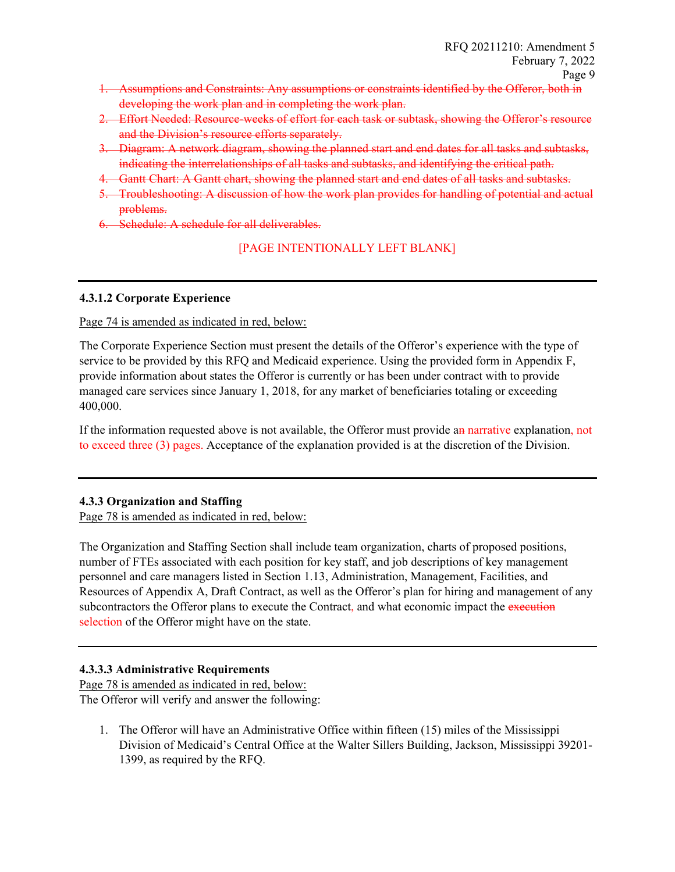- 1. Assumptions and Constraints: Any assumptions or constraints identified by the Offeror, both in developing the work plan and in completing the work plan.
- 2. Effort Needed: Resource-weeks of effort for each task or subtask, showing the Offeror's resource and the Division's resource efforts separately.
- 3. Diagram: A network diagram, showing the planned start and end dates for all tasks and subtasks, indicating the interrelationships of all tasks and subtasks, and identifying the critical path.
- 4. Gantt Chart: A Gantt chart, showing the planned start and end dates of all tasks and subtasks.
- 5. Troubleshooting: A discussion of how the work plan provides for handling of potential and actual problems.
- 6. Schedule: A schedule for all deliverables.

# [PAGE INTENTIONALLY LEFT BLANK]

#### **4.3.1.2 Corporate Experience**

Page 74 is amended as indicated in red, below:

The Corporate Experience Section must present the details of the Offeror's experience with the type of service to be provided by this RFQ and Medicaid experience. Using the provided form in Appendix F, provide information about states the Offeror is currently or has been under contract with to provide managed care services since January 1, 2018, for any market of beneficiaries totaling or exceeding 400,000.

If the information requested above is not available, the Offeror must provide an narrative explanation, not to exceed three (3) pages. Acceptance of the explanation provided is at the discretion of the Division.

# **4.3.3 Organization and Staffing**

Page 78 is amended as indicated in red, below:

The Organization and Staffing Section shall include team organization, charts of proposed positions, number of FTEs associated with each position for key staff, and job descriptions of key management personnel and care managers listed in Section 1.13, Administration, Management, Facilities, and Resources of Appendix A, Draft Contract, as well as the Offeror's plan for hiring and management of any subcontractors the Offeror plans to execute the Contract, and what economic impact the execution selection of the Offeror might have on the state.

# **4.3.3.3 Administrative Requirements**

Page 78 is amended as indicated in red, below: The Offeror will verify and answer the following:

1. The Offeror will have an Administrative Office within fifteen (15) miles of the Mississippi Division of Medicaid's Central Office at the Walter Sillers Building, Jackson, Mississippi 39201- 1399, as required by the RFQ.